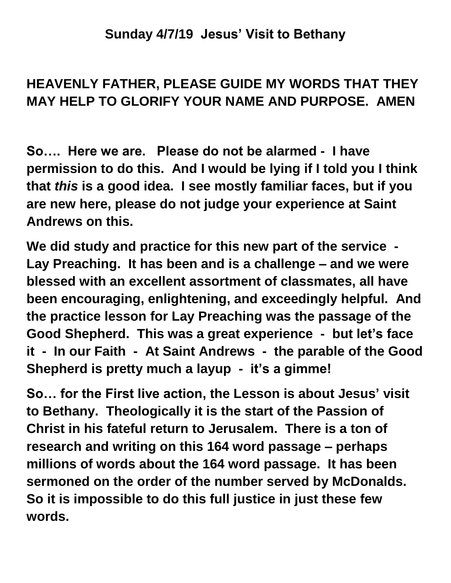## **Sunday 4/7/19 Jesus' Visit to Bethany**

## **HEAVENLY FATHER, PLEASE GUIDE MY WORDS THAT THEY MAY HELP TO GLORIFY YOUR NAME AND PURPOSE. AMEN**

**So…. Here we are. Please do not be alarmed - I have permission to do this. And I would be lying if I told you I think that** *this* **is a good idea. I see mostly familiar faces, but if you are new here, please do not judge your experience at Saint Andrews on this.**

**We did study and practice for this new part of the service - Lay Preaching. It has been and is a challenge – and we were blessed with an excellent assortment of classmates, all have been encouraging, enlightening, and exceedingly helpful. And the practice lesson for Lay Preaching was the passage of the Good Shepherd. This was a great experience - but let's face it - In our Faith - At Saint Andrews - the parable of the Good Shepherd is pretty much a layup - it's a gimme!**

**So… for the First live action, the Lesson is about Jesus' visit to Bethany. Theologically it is the start of the Passion of Christ in his fateful return to Jerusalem. There is a ton of research and writing on this 164 word passage – perhaps millions of words about the 164 word passage. It has been sermoned on the order of the number served by McDonalds. So it is impossible to do this full justice in just these few words.**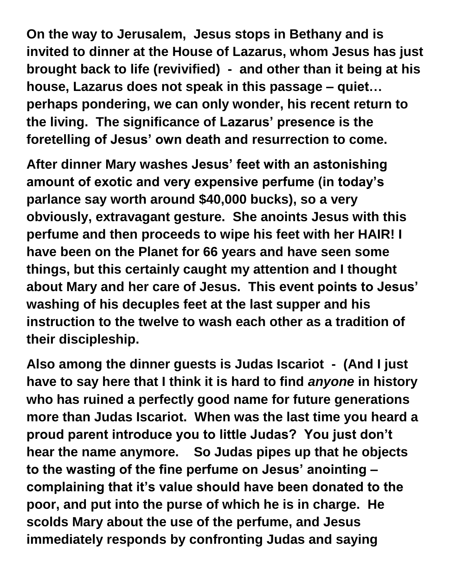**On the way to Jerusalem, Jesus stops in Bethany and is invited to dinner at the House of Lazarus, whom Jesus has just brought back to life (revivified) - and other than it being at his house, Lazarus does not speak in this passage – quiet… perhaps pondering, we can only wonder, his recent return to the living. The significance of Lazarus' presence is the foretelling of Jesus' own death and resurrection to come.**

**After dinner Mary washes Jesus' feet with an astonishing amount of exotic and very expensive perfume (in today's parlance say worth around \$40,000 bucks), so a very obviously, extravagant gesture. She anoints Jesus with this perfume and then proceeds to wipe his feet with her HAIR! I have been on the Planet for 66 years and have seen some things, but this certainly caught my attention and I thought about Mary and her care of Jesus. This event points to Jesus' washing of his decuples feet at the last supper and his instruction to the twelve to wash each other as a tradition of their discipleship.**

**Also among the dinner guests is Judas Iscariot - (And I just have to say here that I think it is hard to find** *anyone* **in history who has ruined a perfectly good name for future generations more than Judas Iscariot. When was the last time you heard a proud parent introduce you to little Judas? You just don't hear the name anymore. So Judas pipes up that he objects to the wasting of the fine perfume on Jesus' anointing – complaining that it's value should have been donated to the poor, and put into the purse of which he is in charge. He scolds Mary about the use of the perfume, and Jesus immediately responds by confronting Judas and saying**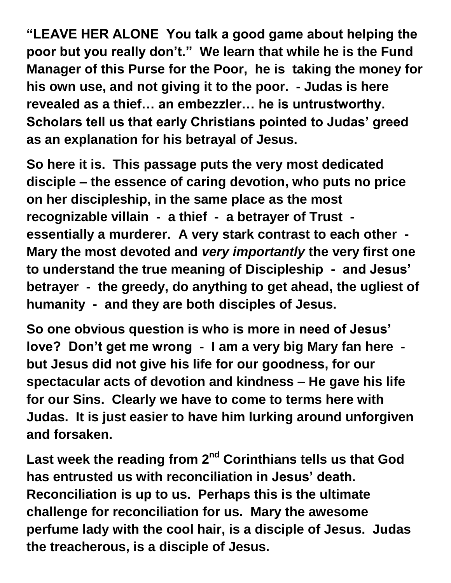**"LEAVE HER ALONE You talk a good game about helping the poor but you really don't." We learn that while he is the Fund Manager of this Purse for the Poor, he is taking the money for his own use, and not giving it to the poor. - Judas is here revealed as a thief… an embezzler… he is untrustworthy. Scholars tell us that early Christians pointed to Judas' greed as an explanation for his betrayal of Jesus.**

**So here it is. This passage puts the very most dedicated disciple – the essence of caring devotion, who puts no price on her discipleship, in the same place as the most recognizable villain - a thief - a betrayer of Trust essentially a murderer. A very stark contrast to each other - Mary the most devoted and** *very importantly* **the very first one to understand the true meaning of Discipleship - and Jesus' betrayer - the greedy, do anything to get ahead, the ugliest of humanity - and they are both disciples of Jesus.**

**So one obvious question is who is more in need of Jesus' love? Don't get me wrong - I am a very big Mary fan here but Jesus did not give his life for our goodness, for our spectacular acts of devotion and kindness – He gave his life for our Sins. Clearly we have to come to terms here with Judas. It is just easier to have him lurking around unforgiven and forsaken.**

Last week the reading from 2<sup>nd</sup> Corinthians tells us that God **has entrusted us with reconciliation in Jesus' death. Reconciliation is up to us. Perhaps this is the ultimate challenge for reconciliation for us. Mary the awesome perfume lady with the cool hair, is a disciple of Jesus. Judas the treacherous, is a disciple of Jesus.**